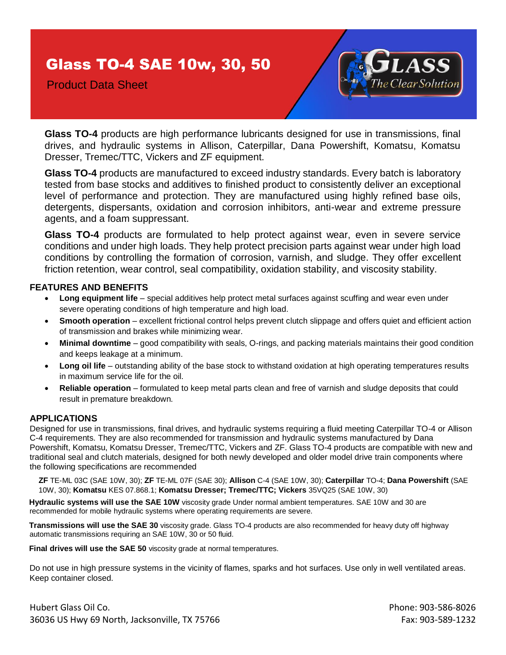## Glass TO-4 SAE 10w, 30, 50

Product Data Sheet



**Glass TO-4** products are high performance lubricants designed for use in transmissions, final drives, and hydraulic systems in Allison, Caterpillar, Dana Powershift, Komatsu, Komatsu Dresser, Tremec/TTC, Vickers and ZF equipment.

**Glass TO-4** products are manufactured to exceed industry standards. Every batch is laboratory tested from base stocks and additives to finished product to consistently deliver an exceptional level of performance and protection. They are manufactured using highly refined base oils, detergents, dispersants, oxidation and corrosion inhibitors, anti-wear and extreme pressure agents, and a foam suppressant.

**Glass TO-4** products are formulated to help protect against wear, even in severe service conditions and under high loads. They help protect precision parts against wear under high load conditions by controlling the formation of corrosion, varnish, and sludge. They offer excellent friction retention, wear control, seal compatibility, oxidation stability, and viscosity stability.

## **FEATURES AND BENEFITS**

- **Long equipment life** special additives help protect metal surfaces against scuffing and wear even under severe operating conditions of high temperature and high load.
- **Smooth operation** excellent frictional control helps prevent clutch slippage and offers quiet and efficient action of transmission and brakes while minimizing wear.
- **Minimal downtime** good compatibility with seals, O-rings, and packing materials maintains their good condition and keeps leakage at a minimum.
- **Long oil life** outstanding ability of the base stock to withstand oxidation at high operating temperatures results in maximum service life for the oil.
- **Reliable operation** formulated to keep metal parts clean and free of varnish and sludge deposits that could result in premature breakdown.

## **APPLICATIONS**

Designed for use in transmissions, final drives, and hydraulic systems requiring a fluid meeting Caterpillar TO-4 or Allison C-4 requirements. They are also recommended for transmission and hydraulic systems manufactured by Dana Powershift, Komatsu, Komatsu Dresser, Tremec/TTC, Vickers and ZF. Glass TO-4 products are compatible with new and traditional seal and clutch materials, designed for both newly developed and older model drive train components where the following specifications are recommended

**ZF** TE-ML 03C (SAE 10W, 30); **ZF** TE-ML 07F (SAE 30); **Allison** C-4 (SAE 10W, 30); **Caterpillar** TO-4; **Dana Powershift** (SAE 10W, 30); **Komatsu** KES 07.868.1; **Komatsu Dresser; Tremec/TTC; Vickers** 35VQ25 (SAE 10W, 30)

**Hydraulic systems will use the SAE 10W** viscosity grade Under normal ambient temperatures. SAE 10W and 30 are recommended for mobile hydraulic systems where operating requirements are severe.

**Transmissions will use the SAE 30** viscosity grade. Glass TO-4 products are also recommended for heavy duty off highway automatic transmissions requiring an SAE 10W, 30 or 50 fluid.

**Final drives will use the SAE 50** viscosity grade at normal temperatures.

Do not use in high pressure systems in the vicinity of flames, sparks and hot surfaces. Use only in well ventilated areas. Keep container closed.

Hubert Glass Oil Co. Phone: 903-586-8026 36036 US Hwy 69 North, Jacksonville, TX 75766 Fax: 903-589-1232 Fax: 903-589-1232